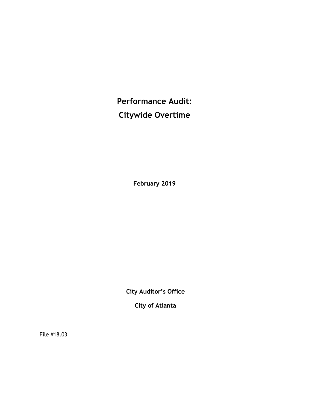**Performance Audit: Citywide Overtime**

**February 2019**

**City Auditor's Office**

**City of Atlanta**

File #18.03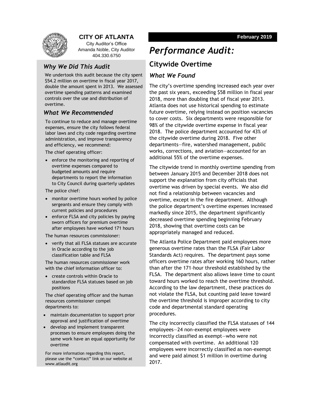

## **CITY OF ATLANTA**

City Auditor's Office Amanda Noble, City Auditor 404.330.6750

### *Why We Did This Audit*

We undertook this audit because the city spent \$54.2 million on overtime in fiscal year 2017, double the amount spent in 2013. We assessed overtime spending patterns and examined controls over the use and distribution of overtime.

### *What We Recommended*

To continue to reduce and manage overtime expenses, ensure the city follows federal labor laws and city code regarding overtime administration, and improve transparency and efficiency, we recommend:

The chief operating officer:

• enforce the monitoring and reporting of overtime expenses compared to budgeted amounts and require departments to report the information to City Council during quarterly updates

The police chief:

- monitor overtime hours worked by police sergeants and ensure they comply with current policies and procedures
- enforce FLSA and city policies by paying sworn officers for premium overtime after employees have worked 171 hours

The human resources commissioner:

• verify that all FLSA statuses are accurate in Oracle according to the job classification table and FLSA

The human resources commissioner work with the chief information officer to:

• create controls within Oracle to standardize FLSA statuses based on job positions

The chief operating officer and the human resources commissioner compel departments to:

- maintain documentation to support prior approval and justification of overtime
- develop and implement transparent processes to ensure employees doing the same work have an equal opportunity for overtime

For more information regarding this report, please use the "contact" link on our website at www.atlaudit.org

## *Performance Audit:*

## **Citywide Overtime**

### *What We Found*

The city's overtime spending increased each year over the past six years, exceeding \$58 million in fiscal year 2018, more than doubling that of fiscal year 2013. Atlanta does not use historical spending to estimate future overtime, relying instead on position vacancies to cover costs. Six departments were responsible for 98% of the citywide overtime expense in fiscal year 2018. The police department accounted for 43% of the citywide overtime during 2018. Five other departments—fire, watershed management, public works, corrections, and aviation—accounted for an additional 55% of the overtime expenses.

The citywide trend in monthly overtime spending from between January 2015 and December 2018 does not support the explanation from city officials that overtime was driven by special events. We also did not find a relationship between vacancies and overtime, except in the fire department. Although the police department's overtime expenses increased markedly since 2015, the department significantly decreased overtime spending beginning February 2018, showing that overtime costs can be appropriately managed and reduced.

The Atlanta Police Department paid employees more generous overtime rates than the FLSA (Fair Labor Standards Act) requires. The department pays some officers overtime rates after working 160 hours, rather than after the 171-hour threshold established by the FLSA. The department also allows leave time to count toward hours worked to reach the overtime threshold. According to the law department, these practices do not violate the FLSA, but counting paid leave toward the overtime threshold is improper according to city code and departmental standard operating procedures.

The city incorrectly classified the FLSA statuses of 144 employees—24 non-exempt employees were incorrectly classified as exempt—who were not compensated with overtime. An additional 120 employees were incorrectly classified as non-exempt and were paid almost \$1 million in overtime during 2017.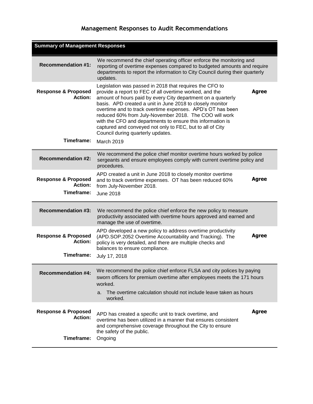## **Management Responses to Audit Recommendations**

| <b>Summary of Management Responses</b>                         |                                                                                                                                                                                                                                                                                                                                                                                                                                                                                                                                         |              |
|----------------------------------------------------------------|-----------------------------------------------------------------------------------------------------------------------------------------------------------------------------------------------------------------------------------------------------------------------------------------------------------------------------------------------------------------------------------------------------------------------------------------------------------------------------------------------------------------------------------------|--------------|
| <b>Recommendation #1:</b>                                      | We recommend the chief operating officer enforce the monitoring and<br>reporting of overtime expenses compared to budgeted amounts and require<br>departments to report the information to City Council during their quarterly<br>updates.                                                                                                                                                                                                                                                                                              |              |
| <b>Response &amp; Proposed</b><br><b>Action:</b>               | Legislation was passed in 2018 that requires the CFO to<br>provide a report to FEC of all overtime worked, and the<br>amount of hours paid by every City department on a quarterly<br>basis. APD created a unit in June 2018 to closely monitor<br>overtime and to track overtime expenses. APD's OT has been<br>reduced 60% from July-November 2018. The COO will work<br>with the CFO and departments to ensure this information is<br>captured and conveyed not only to FEC, but to all of City<br>Council during quarterly updates. | <b>Agree</b> |
| Timeframe:                                                     | March 2019                                                                                                                                                                                                                                                                                                                                                                                                                                                                                                                              |              |
| <b>Recommendation #2:</b>                                      | We recommend the police chief monitor overtime hours worked by police<br>sergeants and ensure employees comply with current overtime policy and<br>procedures.                                                                                                                                                                                                                                                                                                                                                                          |              |
| <b>Response &amp; Proposed</b><br><b>Action:</b><br>Timeframe: | APD created a unit in June 2018 to closely monitor overtime<br>and to track overtime expenses. OT has been reduced 60%<br>from July-November 2018.<br><b>June 2018</b>                                                                                                                                                                                                                                                                                                                                                                  | <b>Agree</b> |
| <b>Recommendation #3:</b>                                      | We recommend the police chief enforce the new policy to measure<br>productivity associated with overtime hours approved and earned and<br>manage the use of overtime.                                                                                                                                                                                                                                                                                                                                                                   |              |
| <b>Response &amp; Proposed</b><br><b>Action:</b>               | APD developed a new policy to address overtime productivity<br>(APD.SOP.2052 Overtime Accountability and Tracking). The<br>policy is very detailed, and there are multiple checks and<br>balances to ensure compliance.                                                                                                                                                                                                                                                                                                                 | <b>Agree</b> |
| Timeframe:                                                     | July 17, 2018                                                                                                                                                                                                                                                                                                                                                                                                                                                                                                                           |              |
| <b>Recommendation #4:</b>                                      | We recommend the police chief enforce FLSA and city polices by paying<br>sworn officers for premium overtime after employees meets the 171 hours<br>worked.<br>The overtime calculation should not include leave taken as hours<br>a.                                                                                                                                                                                                                                                                                                   |              |
|                                                                | worked.                                                                                                                                                                                                                                                                                                                                                                                                                                                                                                                                 |              |
| <b>Response &amp; Proposed</b><br><b>Action:</b>               | APD has created a specific unit to track overtime, and<br>overtime has been utilized in a manner that ensures consistent<br>and comprehensive coverage throughout the City to ensure<br>the safety of the public.                                                                                                                                                                                                                                                                                                                       | <b>Agree</b> |
| Timeframe:                                                     | Ongoing                                                                                                                                                                                                                                                                                                                                                                                                                                                                                                                                 |              |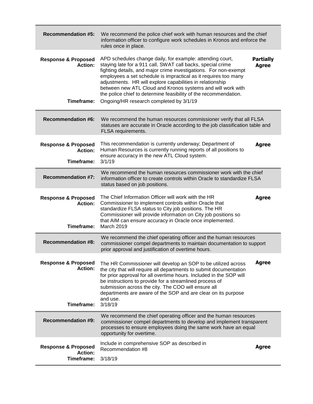| <b>Recommendation #5:</b>                                      | We recommend the police chief work with human resources and the chief<br>information officer to configure work schedules in Kronos and enforce the<br>rules once in place.                                                                                                                                                                                                                                                                                                                                 |                                  |
|----------------------------------------------------------------|------------------------------------------------------------------------------------------------------------------------------------------------------------------------------------------------------------------------------------------------------------------------------------------------------------------------------------------------------------------------------------------------------------------------------------------------------------------------------------------------------------|----------------------------------|
| <b>Response &amp; Proposed</b><br>Action:<br>Timeframe:        | APD schedules change daily, for example: attending court,<br>staying late for a 911 call, SWAT call backs, special crime<br>fighting details, and major crime investigations. For non-exempt<br>employees a set schedule is impractical as it requires too many<br>adjustments. HR will explore capabilities in relationship<br>between new ATL Cloud and Kronos systems and will work with<br>the police chief to determine feasibility of the recommendation.<br>Ongoing/HR research completed by 3/1/19 | <b>Partially</b><br><b>Agree</b> |
| <b>Recommendation #6:</b>                                      | We recommend the human resources commissioner verify that all FLSA<br>statuses are accurate in Oracle according to the job classification table and<br>FLSA requirements.                                                                                                                                                                                                                                                                                                                                  |                                  |
| <b>Response &amp; Proposed</b><br><b>Action:</b><br>Timeframe: | This recommendation is currently underway; Department of<br>Human Resources is currently running reports of all positions to<br>ensure accuracy in the new ATL Cloud system.<br>3/1/19                                                                                                                                                                                                                                                                                                                     | <b>Agree</b>                     |
| <b>Recommendation #7:</b>                                      | We recommend the human resources commissioner work with the chief<br>information officer to create controls within Oracle to standardize FLSA<br>status based on job positions.                                                                                                                                                                                                                                                                                                                            |                                  |
| <b>Response &amp; Proposed</b><br><b>Action:</b><br>Timeframe: | The Chief Information Officer will work with the HR<br>Commissioner to implement controls within Oracle that<br>standardize FLSA status to City job positions. The HR<br>Commissioner will provide information on City job positions so<br>that AIM can ensure accuracy in Oracle once implemented.<br><b>March 2019</b>                                                                                                                                                                                   | <b>Agree</b>                     |
| <b>Recommendation #8:</b>                                      | We recommend the chief operating officer and the human resources<br>commissioner compel departments to maintain documentation to support<br>prior approval and justification of overtime hours.                                                                                                                                                                                                                                                                                                            |                                  |
| <b>Response &amp; Proposed</b><br><b>Action:</b><br>Timeframe: | The HR Commissioner will develop an SOP to be utilized across<br>the city that will require all departments to submit documentation<br>for prior approval for all overtime hours. Included in the SOP will<br>be instructions to provide for a streamlined process of<br>submission across the city. The COO will ensure all<br>departments are aware of the SOP and are clear on its purpose<br>and use.<br>3/18/19                                                                                       | <b>Agree</b>                     |
| <b>Recommendation #9:</b>                                      | We recommend the chief operating officer and the human resources<br>commissioner compel departments to develop and implement transparent<br>processes to ensure employees doing the same work have an equal<br>opportunity for overtime.                                                                                                                                                                                                                                                                   |                                  |
| <b>Response &amp; Proposed</b><br><b>Action:</b><br>Timeframe: | Include in comprehensive SOP as described in<br>Recommendation #8<br>3/18/19                                                                                                                                                                                                                                                                                                                                                                                                                               | Agree                            |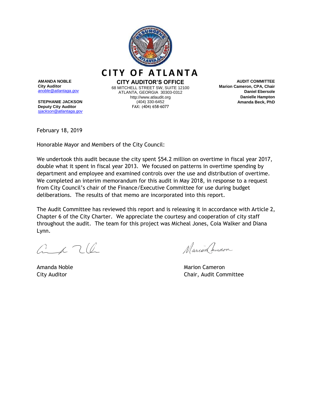

**AMANDA NOBLE City Auditor** *[anoble@atlantaga.gov](mailto:anoble@atlantaga.gov)*

**STEPHANIE JACKSON Deputy City Auditor** *[sjackson@atlantaga.gov](mailto:sjackson@atlantaga.gov)*

**CITY AUDITOR'S OFFICE** 68 MITCHELL STREET SW, SUITE 12100 ATLANTA, GEORGIA 30303-0312 http://www.atlaudit.org (404) 330-6452 FAX: (404) 658-6077

**CITY OF ATLANTA** 

**AUDIT COMMITTEE Marion Cameron, CPA, Chair Daniel Ebersole Danielle Hampton Amanda Beck, PhD**

February 18, 2019

Honorable Mayor and Members of the City Council:

We undertook this audit because the city spent \$54.2 million on overtime in fiscal year 2017, double what it spent in fiscal year 2013. We focused on patterns in overtime spending by department and employee and examined controls over the use and distribution of overtime. We completed an interim memorandum for this audit in May 2018, in response to a request from City Council's chair of the Finance/Executive Committee for use during budget deliberations. The results of that memo are incorporated into this report.

The Audit Committee has reviewed this report and is releasing it in accordance with Article 2, Chapter 6 of the City Charter. We appreciate the courtesy and cooperation of city staff throughout the audit. The team for this project was Micheal Jones, Coia Walker and Diana Lynn.

 $G_{\alpha}$  c  $7$  (2)

Marion amoron

Amanda Noble Marion Cameron (Marion Cameron Marion Cameron Marion Cameron Cameron Marion Cameron (Marion Cameron City Auditor Chair, Audit Committee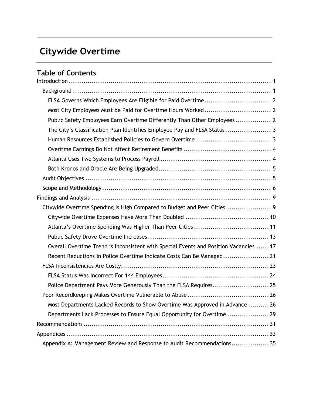# **Citywide Overtime**

## **Table of Contents**

| FLSA Governs Which Employees Are Eligible for Paid Overtime 2                         |
|---------------------------------------------------------------------------------------|
|                                                                                       |
| Public Safety Employees Earn Overtime Differently Than Other Employees 2              |
| The City's Classification Plan Identifies Employee Pay and FLSA Status 3              |
|                                                                                       |
|                                                                                       |
|                                                                                       |
|                                                                                       |
|                                                                                       |
|                                                                                       |
|                                                                                       |
| Citywide Overtime Spending Is High Compared to Budget and Peer Cities  9              |
|                                                                                       |
|                                                                                       |
|                                                                                       |
| Overall Overtime Trend is Inconsistent with Special Events and Position Vacancies  17 |
| Recent Reductions in Police Overtime Indicate Costs Can Be Managed 21                 |
|                                                                                       |
|                                                                                       |
| Police Department Pays More Generously Than the FLSA Requires 25                      |
|                                                                                       |
| Most Departments Lacked Records to Show Overtime Was Approved in Advance  26          |
| Departments Lack Processes to Ensure Equal Opportunity for Overtime  29               |
|                                                                                       |
|                                                                                       |
| Appendix A: Management Review and Response to Audit Recommendations 35                |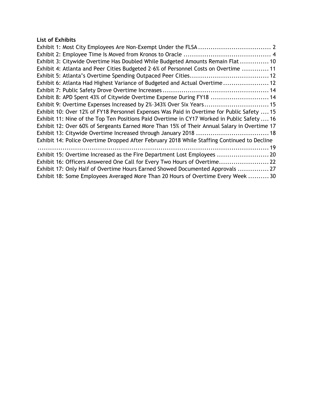### **List of Exhibits**

| Exhibit 3: Citywide Overtime Has Doubled While Budgeted Amounts Remain Flat  10              |
|----------------------------------------------------------------------------------------------|
| Exhibit 4: Atlanta and Peer Cities Budgeted 2-6% of Personnel Costs on Overtime  11          |
|                                                                                              |
| Exhibit 6: Atlanta Had Highest Variance of Budgeted and Actual Overtime 12                   |
|                                                                                              |
| Exhibit 8: APD Spent 43% of Citywide Overtime Expense During FY18  14                        |
| Exhibit 9: Overtime Expenses Increased by 2%-343% Over Six Years 15                          |
| Exhibit 10: Over 12% of FY18 Personnel Expenses Was Paid in Overtime for Public Safety  15   |
| Exhibit 11: Nine of the Top Ten Positions Paid Overtime in CY17 Worked in Public Safety 16   |
| Exhibit 12: Over 60% of Sergeants Earned More Than 15% of Their Annual Salary in Overtime 17 |
|                                                                                              |
| Exhibit 14: Police Overtime Dropped After February 2018 While Staffing Continued to Decline  |
|                                                                                              |
| Exhibit 15: Overtime Increased as the Fire Department Lost Employees  20                     |
| Exhibit 16: Officers Answered One Call for Every Two Hours of Overtime 22                    |
| Exhibit 17: Only Half of Overtime Hours Earned Showed Documented Approvals  27               |
| Exhibit 18: Some Employees Averaged More Than 20 Hours of Overtime Every Week  30            |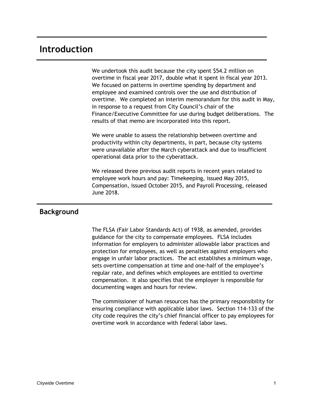## <span id="page-10-0"></span>**Introduction**

We undertook this audit because the city spent \$54.2 million on overtime in fiscal year 2017, double what it spent in fiscal year 2013. We focused on patterns in overtime spending by department and employee and examined controls over the use and distribution of overtime. We completed an interim memorandum for this audit in May, in response to a request from City Council's chair of the Finance/Executive Committee for use during budget deliberations. The results of that memo are incorporated into this report.

We were unable to assess the relationship between overtime and productivity within city departments, in part, because city systems were unavailable after the March cyberattack and due to insufficient operational data prior to the cyberattack.

We released three previous audit reports in recent years related to employee work hours and pay: Timekeeping, issued May 2015, Compensation, issued October 2015, and Payroll Processing, released June 2018.

### <span id="page-10-1"></span>**Background**

The FLSA (Fair Labor Standards Act) of 1938, as amended, provides guidance for the city to compensate employees. FLSA includes information for employers to administer allowable labor practices and protection for employees, as well as penalties against employers who engage in unfair labor practices. The act establishes a minimum wage, sets overtime compensation at time and one-half of the employee's regular rate, and defines which employees are entitled to overtime compensation. It also specifies that the employer is responsible for documenting wages and hours for review.

<span id="page-10-2"></span>The commissioner of human resources has the primary responsibility for ensuring compliance with applicable labor laws. Section 114-133 of the city code requires the city's chief financial officer to pay employees for overtime work in accordance with federal labor laws.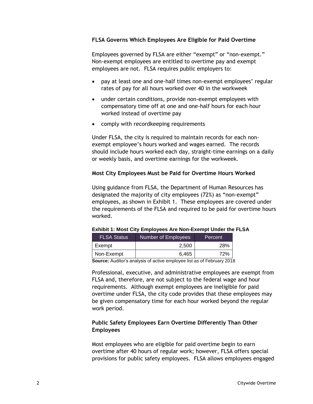### **FLSA Governs Which Employees Are Eligible for Paid Overtime**

Employees governed by FLSA are either "exempt" or "non-exempt." Non-exempt employees are entitled to overtime pay and exempt employees are not. FLSA requires public employers to:

- pay at least one and one-half times non-exempt employees' regular rates of pay for all hours worked over 40 in the workweek
- under certain conditions, provide non-exempt employees with compensatory time off at one and one-half hours for each hour worked instead of overtime pay
- comply with recordkeeping requirements

Under FLSA, the city is required to maintain records for each nonexempt employee's hours worked and wages earned. The records should include hours worked each day, straight-time earnings on a daily or weekly basis, and overtime earnings for the workweek.

### <span id="page-11-0"></span>**Most City Employees Must be Paid for Overtime Hours Worked**

Using guidance from FLSA, the Department of Human Resources has designated the majority of city employees (72%) as "non-exempt" employees, as shown in Exhibit 1. These employees are covered under the requirements of the FLSA and required to be paid for overtime hours worked.

| <b>FLSA Status</b> | Number of Employees | Percent |
|--------------------|---------------------|---------|
| Exempt             | 2.500               | 28%     |
| Non-Exempt         | 6.465               | 72%     |

#### <span id="page-11-2"></span>**Exhibit 1: Most City Employees Are Non-Exempt Under the FLSA**

**Source:** Auditor's analysis of active employee list as of February 2018

Professional, executive, and administrative employees are exempt from FLSA and, therefore, are not subject to the federal wage and hour requirements. Although exempt employees are ineligible for paid overtime under FLSA, the city code provides that these employees may be given compensatory time for each hour worked beyond the regular work period.

### <span id="page-11-1"></span>**Public Safety Employees Earn Overtime Differently Than Other Employees**

Most employees who are eligible for paid overtime begin to earn overtime after 40 hours of regular work; however, FLSA offers special provisions for public safety employees. FLSA allows employees engaged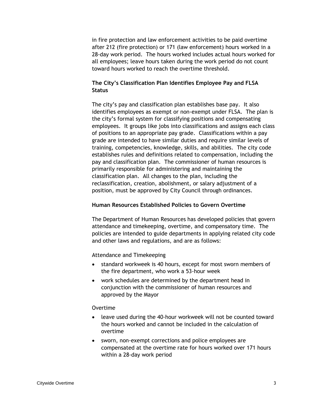in fire protection and law enforcement activities to be paid overtime after 212 (fire protection) or 171 (law enforcement) hours worked in a 28-day work period. The hours worked includes actual hours worked for all employees; leave hours taken during the work period do not count toward hours worked to reach the overtime threshold.

### <span id="page-12-0"></span>**The City's Classification Plan Identifies Employee Pay and FLSA Status**

The city's pay and classification plan establishes base pay. It also identifies employees as exempt or non-exempt under FLSA. The plan is the city's formal system for classifying positions and compensating employees. It groups like jobs into classifications and assigns each class of positions to an appropriate pay grade. Classifications within a pay grade are intended to have similar duties and require similar levels of training, competencies, knowledge, skills, and abilities. The city code establishes rules and definitions related to compensation, including the pay and classification plan. The commissioner of human resources is primarily responsible for administering and maintaining the classification plan. All changes to the plan, including the reclassification, creation, abolishment, or salary adjustment of a position, must be approved by City Council through ordinances.

### <span id="page-12-1"></span>**Human Resources Established Policies to Govern Overtime**

The Department of Human Resources has developed policies that govern attendance and timekeeping, overtime, and compensatory time. The policies are intended to guide departments in applying related city code and other laws and regulations, and are as follows:

Attendance and Timekeeping

- standard workweek is 40 hours, except for most sworn members of the fire department, who work a 53-hour week
- work schedules are determined by the department head in conjunction with the commissioner of human resources and approved by the Mayor

#### Overtime

- leave used during the 40-hour workweek will not be counted toward the hours worked and cannot be included in the calculation of overtime
- sworn, non-exempt corrections and police employees are compensated at the overtime rate for hours worked over 171 hours within a 28-day work period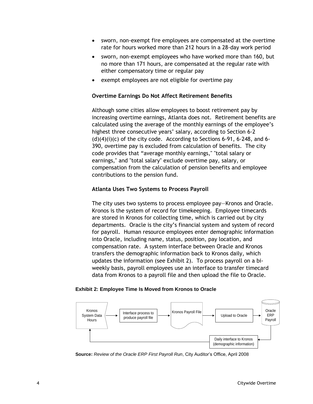- <span id="page-13-2"></span>• sworn, non-exempt fire employees are compensated at the overtime rate for hours worked more than 212 hours in a 28-day work period
- sworn, non-exempt employees who have worked more than 160, but no more than 171 hours, are compensated at the regular rate with either compensatory time or regular pay
- exempt employees are not eligible for overtime pay

### <span id="page-13-0"></span>**Overtime Earnings Do Not Affect Retirement Benefits**

Although some cities allow employees to boost retirement pay by increasing overtime earnings, Atlanta does not. Retirement benefits are calculated using the average of the monthly earnings of the employee's highest three consecutive years' salary, according to Section 6-2  $(d)(4)(i)(c)$  of the city code. According to Sections 6-91, 6-248, and 6-390, overtime pay is excluded from calculation of benefits. The city code provides that "average monthly earnings," "total salary or earnings," and "total salary" exclude overtime pay, salary, or compensation from the calculation of pension benefits and employee contributions to the pension fund.

### <span id="page-13-1"></span>**Atlanta Uses Two Systems to Process Payroll**

The city uses two systems to process employee pay—Kronos and Oracle. Kronos is the system of record for timekeeping. Employee timecards are stored in Kronos for collecting time, which is carried out by city departments. Oracle is the city's financial system and system of record for payroll. Human resource employees enter demographic information into Oracle, including name, status, position, pay location, and compensation rate. A system interface between Oracle and Kronos transfers the demographic information back to Kronos daily, which updates the information (see Exhibit 2). To process payroll on a biweekly basis, payroll employees use an interface to transfer timecard data from Kronos to a payroll file and then upload the file to Oracle.

#### **Exhibit 2: Employee Time Is Moved from Kronos to Oracle**



**Source:** *Review of the Oracle ERP First Payroll Run*, City Auditor's Office, April 2008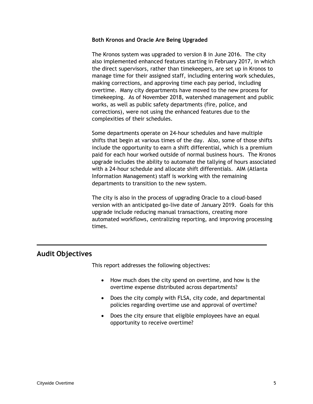### <span id="page-14-0"></span>**Both Kronos and Oracle Are Being Upgraded**

The Kronos system was upgraded to version 8 in June 2016. The city also implemented enhanced features starting in February 2017, in which the direct supervisors, rather than timekeepers, are set up in Kronos to manage time for their assigned staff, including entering work schedules, making corrections, and approving time each pay period, including overtime. Many city departments have moved to the new process for timekeeping. As of November 2018, watershed management and public works, as well as public safety departments (fire, police, and corrections), were not using the enhanced features due to the complexities of their schedules.

Some departments operate on 24-hour schedules and have multiple shifts that begin at various times of the day. Also, some of those shifts include the opportunity to earn a shift differential, which is a premium paid for each hour worked outside of normal business hours. The Kronos upgrade includes the ability to automate the tallying of hours associated with a 24-hour schedule and allocate shift differentials. AIM (Atlanta Information Management) staff is working with the remaining departments to transition to the new system.

The city is also in the process of upgrading Oracle to a cloud-based version with an anticipated go-live date of January 2019. Goals for this upgrade include reducing manual transactions, creating more automated workflows, centralizing reporting, and improving processing times.

## <span id="page-14-1"></span>**Audit Objectives**

This report addresses the following objectives:

- How much does the city spend on overtime, and how is the overtime expense distributed across departments?
- Does the city comply with FLSA, city code, and departmental policies regarding overtime use and approval of overtime?
- Does the city ensure that eligible employees have an equal opportunity to receive overtime?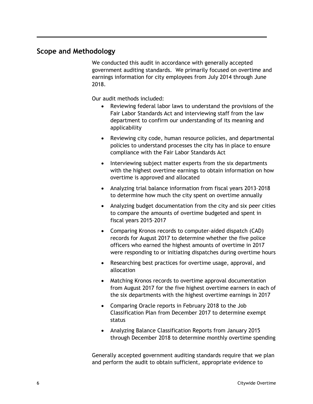## <span id="page-15-0"></span>**Scope and Methodology**

We conducted this audit in accordance with generally accepted government auditing standards. We primarily focused on overtime and earnings information for city employees from July 2014 through June 2018.

Our audit methods included:

- Reviewing federal labor laws to understand the provisions of the Fair Labor Standards Act and interviewing staff from the law department to confirm our understanding of its meaning and applicability
- Reviewing city code, human resource policies, and departmental policies to understand processes the city has in place to ensure compliance with the Fair Labor Standards Act
- Interviewing subject matter experts from the six departments with the highest overtime earnings to obtain information on how overtime is approved and allocated
- Analyzing trial balance information from fiscal years 2013–2018 to determine how much the city spent on overtime annually
- Analyzing budget documentation from the city and six peer cities to compare the amounts of overtime budgeted and spent in fiscal years 2015–2017
- Comparing Kronos records to computer-aided dispatch (CAD) records for August 2017 to determine whether the five police officers who earned the highest amounts of overtime in 2017 were responding to or initiating dispatches during overtime hours
- Researching best practices for overtime usage, approval, and allocation
- Matching Kronos records to overtime approval documentation from August 2017 for the five highest overtime earners in each of the six departments with the highest overtime earnings in 2017
- Comparing Oracle reports in February 2018 to the Job Classification Plan from December 2017 to determine exempt status
- Analyzing Balance Classification Reports from January 2015 through December 2018 to determine monthly overtime spending

Generally accepted government auditing standards require that we plan and perform the audit to obtain sufficient, appropriate evidence to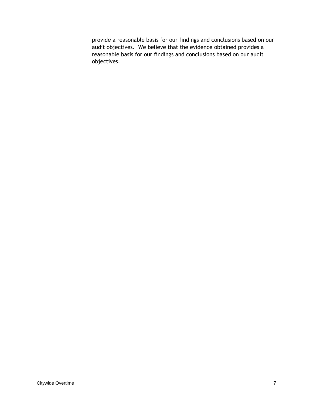provide a reasonable basis for our findings and conclusions based on our audit objectives. We believe that the evidence obtained provides a reasonable basis for our findings and conclusions based on our audit objectives.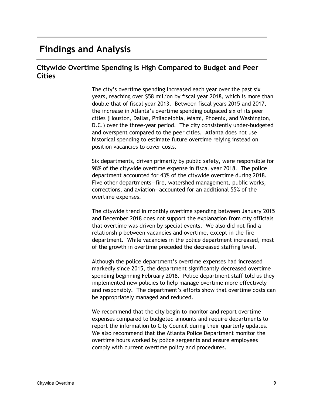## <span id="page-18-0"></span>**Findings and Analysis**

## <span id="page-18-1"></span>**Citywide Overtime Spending Is High Compared to Budget and Peer Cities**

The city's overtime spending increased each year over the past six years, reaching over \$58 million by fiscal year 2018, which is more than double that of fiscal year 2013. Between fiscal years 2015 and 2017, the increase in Atlanta's overtime spending outpaced six of its peer cities (Houston, Dallas, Philadelphia, Miami, Phoenix, and Washington, D.C.) over the three-year period. The city consistently under-budgeted and overspent compared to the peer cities. Atlanta does not use historical spending to estimate future overtime relying instead on position vacancies to cover costs.

Six departments, driven primarily by public safety, were responsible for 98% of the citywide overtime expense in fiscal year 2018. The police department accounted for 43% of the citywide overtime during 2018. Five other departments—fire, watershed management, public works, corrections, and aviation—accounted for an additional 55% of the overtime expenses.

The citywide trend in monthly overtime spending between January 2015 and December 2018 does not support the explanation from city officials that overtime was driven by special events. We also did not find a relationship between vacancies and overtime, except in the fire department. While vacancies in the police department increased, most of the growth in overtime preceded the decreased staffing level.

Although the police department's overtime expenses had increased markedly since 2015, the department significantly decreased overtime spending beginning February 2018. Police department staff told us they implemented new policies to help manage overtime more effectively and responsibly. The department's efforts show that overtime costs can be appropriately managed and reduced.

We recommend that the city begin to monitor and report overtime expenses compared to budgeted amounts and require departments to report the information to City Council during their quarterly updates. We also recommend that the Atlanta Police Department monitor the overtime hours worked by police sergeants and ensure employees comply with current overtime policy and procedures.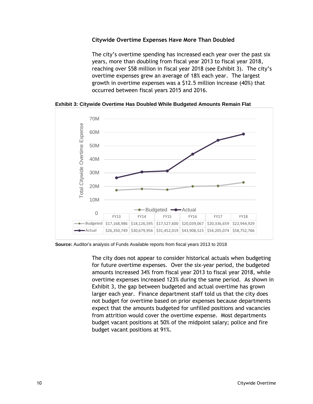### <span id="page-19-0"></span>**Citywide Overtime Expenses Have More Than Doubled**

The city's overtime spending has increased each year over the past six years, more than doubling from fiscal year 2013 to fiscal year 2018, reaching over \$58 million in fiscal year 2018 (see Exhibit 3). The city's overtime expenses grew an average of 18% each year. The largest growth in overtime expenses was a \$12.5 million increase (40%) that occurred between fiscal years 2015 and 2016.

<span id="page-19-1"></span>

**Exhibit 3: Citywide Overtime Has Doubled While Budgeted Amounts Remain Flat**

**Source:** Auditor's analysis of Funds Available reports from fiscal years 2013 to 2018

The city does not appear to consider historical actuals when budgeting for future overtime expenses. Over the six-year period, the budgeted amounts increased 34% from fiscal year 2013 to fiscal year 2018, while overtime expenses increased 123% during the same period. As shown in Exhibit 3, the gap between budgeted and actual overtime has grown larger each year. Finance department staff told us that the city does not budget for overtime based on prior expenses because departments expect that the amounts budgeted for unfilled positions and vacancies from attrition would cover the overtime expense. Most departments budget vacant positions at 50% of the midpoint salary; police and fire budget vacant positions at 91%.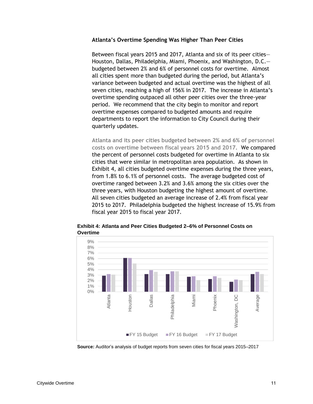### <span id="page-20-0"></span>**Atlanta's Overtime Spending Was Higher Than Peer Cities**

Between fiscal years 2015 and 2017, Atlanta and six of its peer cities— Houston, Dallas, Philadelphia, Miami, Phoenix, and Washington, D.C. budgeted between 2% and 6% of personnel costs for overtime. Almost all cities spent more than budgeted during the period, but Atlanta's variance between budgeted and actual overtime was the highest of all seven cities, reaching a high of 156% in 2017. The increase in Atlanta's overtime spending outpaced all other peer cities over the three-year period. We recommend that the city begin to monitor and report overtime expenses compared to budgeted amounts and require departments to report the information to City Council during their quarterly updates.

**Atlanta and its peer cities budgeted between 2% and 6% of personnel costs on overtime between fiscal years 2015 and 2017.** We compared the percent of personnel costs budgeted for overtime in Atlanta to six cities that were similar in metropolitan area population. As shown in Exhibit 4, all cities budgeted overtime expenses during the three years, from 1.8% to 6.1% of personnel costs. The average budgeted cost of overtime ranged between 3.2% and 3.6% among the six cities over the three years, with Houston budgeting the highest amount of overtime. All seven cities budgeted an average increase of 2.4% from fiscal year 2015 to 2017. Philadelphia budgeted the highest increase of 15.9% from fiscal year 2015 to fiscal year 2017.



<span id="page-20-1"></span>**Exhibit 4: Atlanta and Peer Cities Budgeted 2–6% of Personnel Costs on Overtime**

**Source:** Auditor's analysis of budget reports from seven cities for fiscal years 2015–2017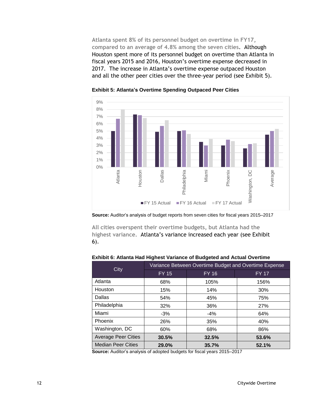**Atlanta spent 8% of its personnel budget on overtime in FY17, compared to an average of 4.8% among the seven cities**. Although Houston spent more of its personnel budget on overtime than Atlanta in fiscal years 2015 and 2016, Houston's overtime expense decreased in 2017. The increase in Atlanta's overtime expense outpaced Houston and all the other peer cities over the three-year period (see Exhibit 5).

<span id="page-21-0"></span>

**Exhibit 5: Atlanta's Overtime Spending Outpaced Peer Cities**

**All cities overspent their overtime budgets, but Atlanta had the highest variance.** Atlanta's variance increased each year (see Exhibit 6).

<span id="page-21-1"></span>

| City                       | Variance Between Overtime Budget and Overtime Expense |              |              |  |  |
|----------------------------|-------------------------------------------------------|--------------|--------------|--|--|
|                            | <b>FY 15</b>                                          | <b>FY 16</b> | <b>FY 17</b> |  |  |
| Atlanta                    | 68%                                                   | 105%         | 156%         |  |  |
| Houston                    | 15%                                                   | 14%          | 30%          |  |  |
| Dallas                     | 54%                                                   | 45%          | 75%          |  |  |
| Philadelphia               | 32%                                                   | 36%          | 27%          |  |  |
| Miami                      | $-3%$                                                 | $-4%$        | 64%          |  |  |
| Phoenix                    | 26%                                                   | 35%          | 40%          |  |  |
| Washington, DC             | 60%                                                   | 68%          | 86%          |  |  |
| <b>Average Peer Cities</b> | 30.5%                                                 | 32.5%        | 53.6%        |  |  |
| <b>Median Peer Cities</b>  | 29.0%                                                 | 35.7%        | 52.1%        |  |  |

**Source:** Auditor's analysis of adopted budgets for fiscal years 2015–2017

**Source:** Auditor's analysis of budget reports from seven cities for fiscal years 2015–2017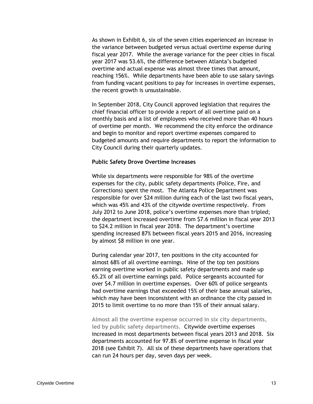As shown in Exhibit 6, six of the seven cities experienced an increase in the variance between budgeted versus actual overtime expense during fiscal year 2017. While the average variance for the peer cities in fiscal year 2017 was 53.6%, the difference between Atlanta's budgeted overtime and actual expense was almost three times that amount, reaching 156%. While departments have been able to use salary savings from funding vacant positions to pay for increases in overtime expenses, the recent growth is unsustainable.

In September 2018, City Council approved legislation that requires the chief financial officer to provide a report of all overtime paid on a monthly basis and a list of employees who received more than 40 hours of overtime per month. We recommend the city enforce the ordinance and begin to monitor and report overtime expenses compared to budgeted amounts and require departments to report the information to City Council during their quarterly updates.

### <span id="page-22-0"></span>**Public Safety Drove Overtime Increases**

While six departments were responsible for 98% of the overtime expenses for the city, public safety departments (Police, Fire, and Corrections) spent the most. The Atlanta Police Department was responsible for over \$24 million during each of the last two fiscal years, which was 45% and 43% of the citywide overtime respectively. From July 2012 to June 2018, police's overtime expenses more than tripled; the department increased overtime from \$7.6 million in fiscal year 2013 to \$24.2 million in fiscal year 2018. The department's overtime spending increased 87% between fiscal years 2015 and 2016, increasing by almost \$8 million in one year.

During calendar year 2017, ten positions in the city accounted for almost 68% of all overtime earnings. Nine of the top ten positions earning overtime worked in public safety departments and made up 65.2% of all overtime earnings paid. Police sergeants accounted for over \$4.7 million in overtime expenses. Over 60% of police sergeants had overtime earnings that exceeded 15% of their base annual salaries, which may have been inconsistent with an ordinance the city passed in 2015 to limit overtime to no more than 15% of their annual salary.

**Almost all the overtime expense occurred in six city departments, led by public safety departments.** Citywide overtime expenses increased in most departments between fiscal years 2013 and 2018. Six departments accounted for 97.8% of overtime expense in fiscal year 2018 (see Exhibit 7). All six of these departments have operations that can run 24 hours per day, seven days per week.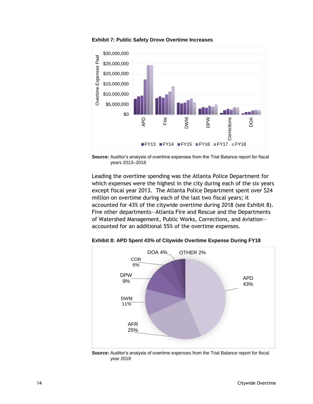<span id="page-23-0"></span>

**Exhibit 7: Public Safety Drove Overtime Increases**



Leading the overtime spending was the Atlanta Police Department for which expenses were the highest in the city during each of the six years except fiscal year 2013. The Atlanta Police Department spent over \$24 million on overtime during each of the last two fiscal years; it accounted for 43% of the citywide overtime during 2018 (see Exhibit 8). Five other departments—Atlanta Fire and Rescue and the Departments of Watershed Management, Public Works, Corrections, and Aviation accounted for an additional 55% of the overtime expenses.

<span id="page-23-1"></span>

**Exhibit 8: APD Spent 43% of Citywide Overtime Expense During FY18**

**Source:** Auditor's analysis of overtime expenses from the Trial Balance report for fiscal year 2018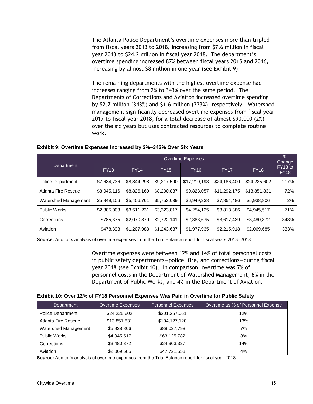The Atlanta Police Department's overtime expenses more than tripled from fiscal years 2013 to 2018, increasing from \$7.6 million in fiscal year 2013 to \$24.2 million in fiscal year 2018. The department's overtime spending increased 87% between fiscal years 2015 and 2016, increasing by almost \$8 million in one year (see Exhibit 9).

The remaining departments with the highest overtime expense had increases ranging from 2% to 343% over the same period. The Departments of Corrections and Aviation increased overtime spending by \$2.7 million (343%) and \$1.6 million (333%), respectively. Watershed management significantly decreased overtime expenses from fiscal year 2017 to fiscal year 2018, for a total decrease of almost \$90,000 (2%) over the six years but uses contracted resources to complete routine work.

|                      | <b>Overtime Expenses</b> |             |             |              |              | $\%$<br>Change |                        |
|----------------------|--------------------------|-------------|-------------|--------------|--------------|----------------|------------------------|
| Department           | <b>FY13</b>              | <b>FY14</b> | <b>FY15</b> | <b>FY16</b>  | <b>FY17</b>  | <b>FY18</b>    | FY13 to<br><b>FY18</b> |
| Police Department    | \$7,634,736              | \$8,844,298 | \$9,217,590 | \$17,210,193 | \$24,186,400 | \$24,225,602   | 217%                   |
| Atlanta Fire Rescue  | \$8,045,116              | \$8,826,160 | \$8,200,887 | \$9,828,057  | \$11,292,175 | \$13,851,831   | 72%                    |
| Watershed Management | \$5,849,106              | \$5,406,761 | \$5,753,039 | \$6,949,238  | \$7,854,486  | \$5,938,806    | 2%                     |
| <b>Public Works</b>  | \$2,885,003              | \$3,511,231 | \$3,323,817 | \$4,254,125  | \$3,813,386  | \$4,945,517    | 71%                    |
| Corrections          | \$785,375                | \$2,070,870 | \$2,722,141 | \$2,383,675  | \$3,617,439  | \$3,480,372    | 343%                   |
| Aviation             | \$478,398                | \$1,207,988 | \$1,243,637 | \$1,977,935  | \$2,215,918  | \$2,069,685    | 333%                   |

#### <span id="page-24-0"></span>**Exhibit 9: Overtime Expenses Increased by 2%–343% Over Six Years**

**Source:** Auditor's analysis of overtime expenses from the Trial Balance report for fiscal years 2013–2018

Overtime expenses were between 12% and 14% of total personnel costs in public safety departments—police, fire, and corrections—during fiscal year 2018 (see Exhibit 10). In comparison, overtime was 7% of personnel costs in the Department of Watershed Management, 8% in the Department of Public Works, and 4% in the Department of Aviation.

#### <span id="page-24-1"></span>**Exhibit 10: Over 12% of FY18 Personnel Expenses Was Paid in Overtime for Public Safety**

| Department               | Overtime Expenses | <b>Personnel Expenses</b> | Overtime as % of Personnel Expense |
|--------------------------|-------------------|---------------------------|------------------------------------|
| <b>Police Department</b> | \$24,225,602      | \$201,257,061             | 12%                                |
| Atlanta Fire Rescue      | \$13,851,831      | \$104,127,120             | 13%                                |
| Watershed Management     | \$5,938,806       | \$88,027,798              | 7%                                 |
| <b>Public Works</b>      | \$4,945,517       | \$63,125,782              | 8%                                 |
| Corrections              | \$3,480,372       | \$24,903,327              | 14%                                |
| Aviation                 | \$2,069,685       | \$47,721,553              | 4%                                 |

**Source:** Auditor's analysis of overtime expenses from the Trial Balance report for fiscal year 2018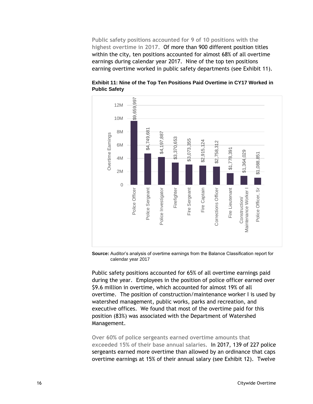**Public safety positions accounted for 9 of 10 positions with the highest overtime in 2017.** Of more than 900 different position titles within the city, ten positions accounted for almost 68% of all overtime earnings during calendar year 2017. Nine of the top ten positions earning overtime worked in public safety departments (see Exhibit 11).



<span id="page-25-0"></span>**Exhibit 11: Nine of the Top Ten Positions Paid Overtime in CY17 Worked in Public Safety**

**Source:** Auditor's analysis of overtime earnings from the Balance Classification report for calendar year 2017

Public safety positions accounted for 65% of all overtime earnings paid during the year. Employees in the position of police officer earned over \$9.6 million in overtime, which accounted for almost 19% of all overtime. The position of construction/maintenance worker I is used by watershed management, public works, parks and recreation, and executive offices. We found that most of the overtime paid for this position (83%) was associated with the Department of Watershed Management.

**Over 60% of police sergeants earned overtime amounts that exceeded 15% of their base annual salaries.** In 2017, 139 of 227 police sergeants earned more overtime than allowed by an ordinance that caps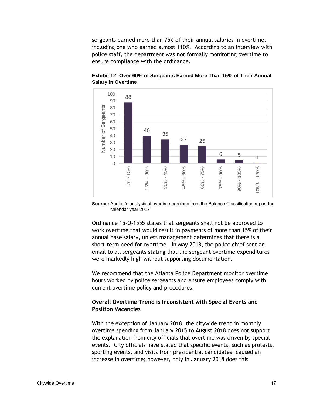sergeants earned more than 75% of their annual salaries in overtime, including one who earned almost 110%. According to an interview with police staff, the department was not formally monitoring overtime to ensure compliance with the ordinance.



<span id="page-26-1"></span>**Exhibit 12: Over 60% of Sergeants Earned More Than 15% of Their Annual Salary in Overtime**

**Source:** Auditor's analysis of overtime earnings from the Balance Classification report for calendar year 2017

Ordinance 15-O-1555 states that sergeants shall not be approved to work overtime that would result in payments of more than 15% of their annual base salary, unless management determines that there is a short-term need for overtime. In May 2018, the police chief sent an email to all sergeants stating that the sergeant overtime expenditures were markedly high without supporting documentation.

We recommend that the Atlanta Police Department monitor overtime hours worked by police sergeants and ensure employees comply with current overtime policy and procedures.

### <span id="page-26-0"></span>**Overall Overtime Trend is Inconsistent with Special Events and Position Vacancies**

With the exception of January 2018, the citywide trend in monthly overtime spending from January 2015 to August 2018 does not support the explanation from city officials that overtime was driven by special events. City officials have stated that specific events, such as protests, sporting events, and visits from presidential candidates, caused an increase in overtime; however, only in January 2018 does this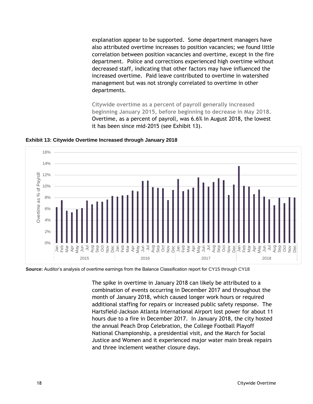explanation appear to be supported. Some department managers have also attributed overtime increases to position vacancies; we found little correlation between position vacancies and overtime, except in the fire department. Police and corrections experienced high overtime without decreased staff, indicating that other factors may have influenced the increased overtime. Paid leave contributed to overtime in watershed management but was not strongly correlated to overtime in other departments.

**Citywide overtime as a percent of payroll generally increased beginning January 2015, before beginning to decrease in May 2018.**  Overtime, as a percent of payroll, was 6.6% in August 2018, the lowest it has been since mid-2015 (see Exhibit 13).



<span id="page-27-0"></span>**Exhibit 13: Citywide Overtime Increased through January 2018**

**Source:** Auditor's analysis of overtime earnings from the Balance Classification report for CY15 through CY18

The spike in overtime in January 2018 can likely be attributed to a combination of events occurring in December 2017 and throughout the month of January 2018, which caused longer work hours or required additional staffing for repairs or increased public safety response. The Hartsfield-Jackson Atlanta International Airport lost power for about 11 hours due to a fire in December 2017. In January 2018, the city hosted the annual Peach Drop Celebration, the College Football Playoff National Championship, a presidential visit, and the March for Social Justice and Women and it experienced major water main break repairs and three inclement weather closure days.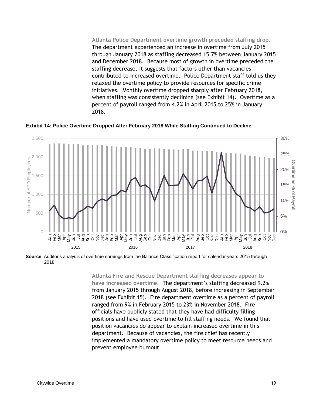**Atlanta Police Department overtime growth preceded staffing drop.** The department experienced an increase in overtime from July 2015 through January 2018 as staffing decreased 15.7% between January 2015 and December 2018. Because most of growth in overtime preceded the staffing decrease, it suggests that factors other than vacancies contributed to increased overtime. Police Department staff told us they relaxed the overtime policy to provide resources for specific crime initiatives. Monthly overtime dropped sharply after February 2018, when staffing was consistently declining (see Exhibit 14)**.** Overtime as a percent of payroll ranged from 4.2% in April 2015 to 25% in January 2018.

2,500 30% 25% 2,000 Number of APD EmployeesOvertime as % of Payrol Overtime as % of Payroll 20% 1,500 15% 1,000 10% 500 5%  $\bigcap$ 0% Jun うしょう こうしゃ a<br>Febra<br>Febra Sep Sena Fasta Language de la Sep Sena Fasta Sep Sana Passa Sep<br>Sep Sena Fasta Language de la Sep Sena Fasta Sep Sana Passa Se 2015 2016 2017 2018

<span id="page-28-0"></span>**Exhibit 14: Police Overtime Dropped After February 2018 While Staffing Continued to Decline**

**Source**: Auditor's analysis of overtime earnings from the Balance Classification report for calendar years 2015 through 2018

> **Atlanta Fire and Rescue Department staffing decreases appear to have increased overtime.** The department's staffing decreased 9.2% from January 2015 through August 2018, before increasing in September 2018 (see Exhibit 15). Fire department overtime as a percent of payroll ranged from 9% in February 2015 to 23% in November 2018. Fire officials have publicly stated that they have had difficulty filling positions and have used overtime to fill staffing needs. We found that position vacancies do appear to explain increased overtime in this department. Because of vacancies, the fire chief has recently implemented a mandatory overtime policy to meet resource needs and prevent employee burnout.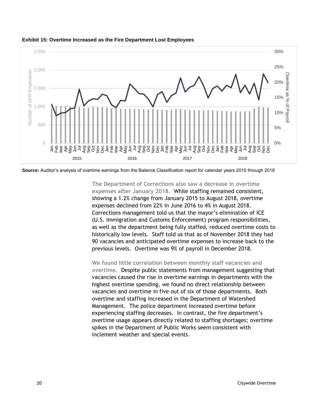

<span id="page-29-0"></span>

**Source:** Auditor's analysis of overtime earnings from the Balance Classification report for calendar years 2015 through 2018

**The Department of Corrections also saw a decrease in overtime expenses after January 2018.** While staffing remained consistent, showing a 1.2% change from January 2015 to August 2018, overtime expenses declined from 22% in June 2016 to 4% in August 2018. Corrections management told us that the mayor's elimination of ICE (U.S. Immigration and Customs Enforcement) program responsibilities, as well as the department being fully staffed, reduced overtime costs to historically low levels. Staff told us that as of November 2018 they had 90 vacancies and anticipated overtime expenses to increase back to the previous levels. Overtime was 9% of payroll in December 2018.

**We found little correlation between monthly staff vacancies and overtime.** Despite public statements from management suggesting that vacancies caused the rise in overtime earnings in departments with the highest overtime spending, we found no direct relationship between vacancies and overtime in five out of six of those departments. Both overtime and staffing increased in the Department of Watershed Management. The police department increased overtime before experiencing staffing decreases. In contrast, the fire department's overtime usage appears directly related to staffing shortages; overtime spikes in the Department of Public Works seem consistent with inclement weather and special events.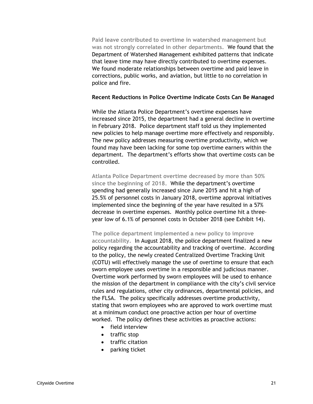**Paid leave contributed to overtime in watershed management but was not strongly correlated in other departments.** We found that the Department of Watershed Management exhibited patterns that indicate that leave time may have directly contributed to overtime expenses. We found moderate relationships between overtime and paid leave in corrections, public works, and aviation, but little to no correlation in police and fire.

### <span id="page-30-0"></span>**Recent Reductions in Police Overtime Indicate Costs Can Be Managed**

While the Atlanta Police Department's overtime expenses have increased since 2015, the department had a general decline in overtime in February 2018. Police department staff told us they implemented new policies to help manage overtime more effectively and responsibly. The new policy addresses measuring overtime productivity, which we found may have been lacking for some top overtime earners within the department. The department's efforts show that overtime costs can be controlled.

**Atlanta Police Department overtime decreased by more than 50% since the beginning of 2018.** While the department's overtime spending had generally increased since June 2015 and hit a high of 25.5% of personnel costs in January 2018, overtime approval initiatives implemented since the beginning of the year have resulted in a 57% decrease in overtime expenses. Monthly police overtime hit a threeyear low of 6.1% of personnel costs in October 2018 (see Exhibit 14).

**The police department implemented a new policy to improve accountability.** In August 2018, the police department finalized a new policy regarding the accountability and tracking of overtime. According to the policy, the newly created Centralized Overtime Tracking Unit (COTU) will effectively manage the use of overtime to ensure that each sworn employee uses overtime in a responsible and judicious manner. Overtime work performed by sworn employees will be used to enhance the mission of the department in compliance with the city's civil service rules and regulations, other city ordinances, departmental policies, and the FLSA. The policy specifically addresses overtime productivity, stating that sworn employees who are approved to work overtime must at a minimum conduct one proactive action per hour of overtime worked. The policy defines these activities as proactive actions:

- field interview
- traffic stop
- traffic citation
- parking ticket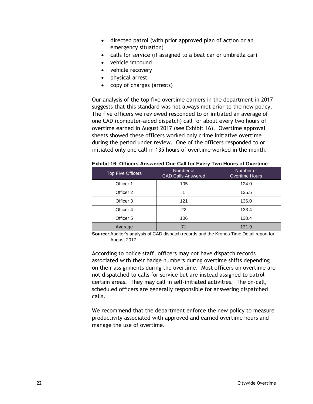- directed patrol (with prior approved plan of action or an emergency situation)
- calls for service (if assigned to a beat car or umbrella car)
- vehicle impound
- vehicle recovery
- physical arrest
- copy of charges (arrests)

Our analysis of the top five overtime earners in the department in 2017 suggests that this standard was not always met prior to the new policy. The five officers we reviewed responded to or initiated an average of one CAD (computer-aided dispatch) call for about every two hours of overtime earned in August 2017 (see Exhibit 16). Overtime approval sheets showed these officers worked only crime initiative overtime during the period under review. One of the officers responded to or initiated only one call in 135 hours of overtime worked in the month.

<span id="page-31-0"></span>

| <b>Top Five Officers</b> | Number of<br><b>CAD Calls Answered</b> | Number of<br><b>Overtime Hours</b> |
|--------------------------|----------------------------------------|------------------------------------|
| Officer 1                | 105                                    | 124.0                              |
| Officer 2                |                                        | 135.5                              |
| Officer 3                | 121                                    | 136.0                              |
| Officer 4                | 22                                     | 133.4                              |
| Officer 5                | 106                                    | 130.4                              |
| Average                  | 71                                     | 131.9                              |

**Exhibit 16: Officers Answered One Call for Every Two Hours of Overtime** 

**Source:** Auditor's analysis of CAD dispatch records and the Kronos Time Detail report for August 2017.

According to police staff, officers may not have dispatch records associated with their badge numbers during overtime shifts depending on their assignments during the overtime. Most officers on overtime are not dispatched to calls for service but are instead assigned to patrol certain areas. They may call in self-initiated activities. The on-call, scheduled officers are generally responsible for answering dispatched calls.

We recommend that the department enforce the new policy to measure productivity associated with approved and earned overtime hours and manage the use of overtime.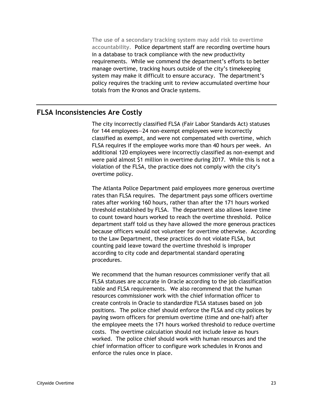**The use of a secondary tracking system may add risk to overtime accountability.** Police department staff are recording overtime hours in a database to track compliance with the new productivity requirements. While we commend the department's efforts to better manage overtime, tracking hours outside of the city's timekeeping system may make it difficult to ensure accuracy. The department's policy requires the tracking unit to review accumulated overtime hour totals from the Kronos and Oracle systems.

### <span id="page-32-0"></span>**FLSA Inconsistencies Are Costly**

The city incorrectly classified FLSA (Fair Labor Standards Act) statuses for 144 employees—24 non-exempt employees were incorrectly classified as exempt, and were not compensated with overtime, which FLSA requires if the employee works more than 40 hours per week. An additional 120 employees were incorrectly classified as non-exempt and were paid almost \$1 million in overtime during 2017. While this is not a violation of the FLSA, the practice does not comply with the city's overtime policy.

The Atlanta Police Department paid employees more generous overtime rates than FLSA requires. The department pays some officers overtime rates after working 160 hours, rather than after the 171 hours worked threshold established by FLSA. The department also allows leave time to count toward hours worked to reach the overtime threshold. Police department staff told us they have allowed the more generous practices because officers would not volunteer for overtime otherwise. According to the Law Department, these practices do not violate FLSA, but counting paid leave toward the overtime threshold is improper according to city code and departmental standard operating procedures.

We recommend that the human resources commissioner verify that all FLSA statuses are accurate in Oracle according to the job classification table and FLSA requirements. We also recommend that the human resources commissioner work with the chief information officer to create controls in Oracle to standardize FLSA statuses based on job positions. The police chief should enforce the FLSA and city polices by paying sworn officers for premium overtime (time and one-half) after the employee meets the 171 hours worked threshold to reduce overtime costs. The overtime calculation should not include leave as hours worked. The police chief should work with human resources and the chief information officer to configure work schedules in Kronos and enforce the rules once in place.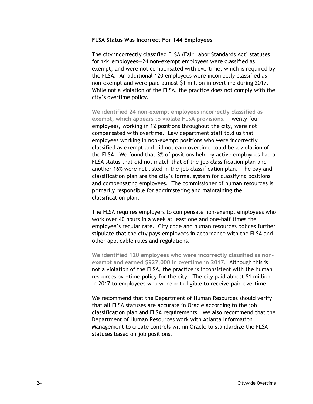### <span id="page-33-0"></span>**FLSA Status Was Incorrect For 144 Employees**

The city incorrectly classified FLSA (Fair Labor Standards Act) statuses for 144 employees—24 non-exempt employees were classified as exempt, and were not compensated with overtime, which is required by the FLSA. An additional 120 employees were incorrectly classified as non-exempt and were paid almost \$1 million in overtime during 2017. While not a violation of the FLSA, the practice does not comply with the city's overtime policy.

**We identified 24 non-exempt employees incorrectly classified as exempt, which appears to violate FLSA provisions.** Twenty-four employees, working in 12 positions throughout the city, were not compensated with overtime. Law department staff told us that employees working in non-exempt positions who were incorrectly classified as exempt and did not earn overtime could be a violation of the FLSA. We found that 3% of positions held by active employees had a FLSA status that did not match that of the job classification plan and another 16% were not listed in the job classification plan. The pay and classification plan are the city's formal system for classifying positions and compensating employees. The commissioner of human resources is primarily responsible for administering and maintaining the classification plan.

The FLSA requires employers to compensate non-exempt employees who work over 40 hours in a week at least one and one-half times the employee's regular rate. City code and human resources polices further stipulate that the city pays employees in accordance with the FLSA and other applicable rules and regulations.

**We identified 120 employees who were incorrectly classified as nonexempt and earned \$927,000 in overtime in 2017.** Although this is not a violation of the FLSA, the practice is inconsistent with the human resources overtime policy for the city. The city paid almost \$1 million in 2017 to employees who were not eligible to receive paid overtime.

We recommend that the Department of Human Resources should verify that all FLSA statuses are accurate in Oracle according to the job classification plan and FLSA requirements. We also recommend that the Department of Human Resources work with Atlanta Information Management to create controls within Oracle to standardize the FLSA statuses based on job positions.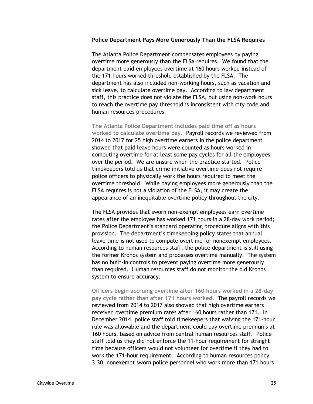### <span id="page-34-0"></span>**Police Department Pays More Generously Than the FLSA Requires**

The Atlanta Police Department compensates employees by paying overtime more generously than the FLSA requires. We found that the department paid employees overtime at 160 hours worked instead of the 171 hours worked threshold established by the FLSA. The department has also included non-working hours, such as vacation and sick leave, to calculate overtime pay. According to law department staff, this practice does not violate the FLSA, but using non-work hours to reach the overtime pay threshold is inconsistent with city code and human resources procedures.

**The Atlanta Police Department includes paid time off as hours worked to calculate overtime pay.** Payroll records we reviewed from 2014 to 2017 for 25 high overtime earners in the police department showed that paid leave hours were counted as hours worked in computing overtime for at least some pay cycles for all the employees over the period. We are unsure when the practice started. Police timekeepers told us that crime initiative overtime does not require police officers to physically work the hours required to meet the overtime threshold. While paying employees more generously than the FLSA requires is not a violation of the FLSA, it may create the appearance of an inequitable overtime policy throughout the city.

The FLSA provides that sworn non-exempt employees earn overtime rates after the employee has worked 171 hours in a 28-day work period; the Police Department's standard operating procedure aligns with this provision. The department's timekeeping policy states that annual leave time is not used to compute overtime for nonexempt employees. According to human resources staff, the police department is still using the former Kronos system and processes overtime manually. The system has no built-in controls to prevent paying overtime more generously than required. Human resources staff do not monitor the old Kronos system to ensure accuracy.

**Officers begin accruing overtime after 160 hours worked in a 28-day pay cycle rather than after 171 hours worked.** The payroll records we reviewed from 2014 to 2017 also showed that high overtime earners received overtime premium rates after 160 hours rather than 171. In December 2014, police staff told timekeepers that waiving the 171-hour rule was allowable and the department could pay overtime premiums at 160 hours, based on advice from central human resources staff. Police staff told us they did not enforce the 11-hour requirement for straight time because officers would not volunteer for overtime if they had to work the 171-hour requirement. According to human resources policy 3.30, nonexempt sworn police personnel who work more than 171 hours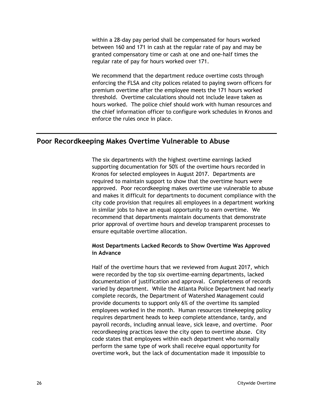within a 28-day pay period shall be compensated for hours worked between 160 and 171 in cash at the regular rate of pay and may be granted compensatory time or cash at one and one-half times the regular rate of pay for hours worked over 171.

We recommend that the department reduce overtime costs through enforcing the FLSA and city polices related to paying sworn officers for premium overtime after the employee meets the 171 hours worked threshold. Overtime calculations should not include leave taken as hours worked. The police chief should work with human resources and the chief information officer to configure work schedules in Kronos and enforce the rules once in place.

## <span id="page-35-0"></span>**Poor Recordkeeping Makes Overtime Vulnerable to Abuse**

The six departments with the highest overtime earnings lacked supporting documentation for 50% of the overtime hours recorded in Kronos for selected employees in August 2017. Departments are required to maintain support to show that the overtime hours were approved. Poor recordkeeping makes overtime use vulnerable to abuse and makes it difficult for departments to document compliance with the city code provision that requires all employees in a department working in similar jobs to have an equal opportunity to earn overtime. We recommend that departments maintain documents that demonstrate prior approval of overtime hours and develop transparent processes to ensure equitable overtime allocation.

### <span id="page-35-1"></span>**Most Departments Lacked Records to Show Overtime Was Approved in Advance**

Half of the overtime hours that we reviewed from August 2017, which were recorded by the top six overtime-earning departments, lacked documentation of justification and approval. Completeness of records varied by department. While the Atlanta Police Department had nearly complete records, the Department of Watershed Management could provide documents to support only 6% of the overtime its sampled employees worked in the month. Human resources timekeeping policy requires department heads to keep complete attendance, tardy, and payroll records, including annual leave, sick leave, and overtime. Poor recordkeeping practices leave the city open to overtime abuse. City code states that employees within each department who normally perform the same type of work shall receive equal opportunity for overtime work, but the lack of documentation made it impossible to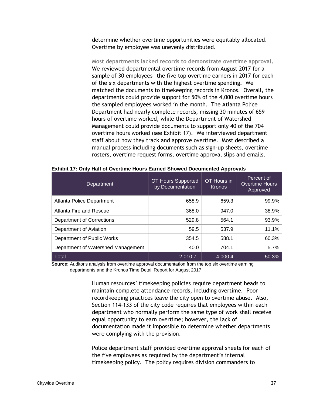determine whether overtime opportunities were equitably allocated. Overtime by employee was unevenly distributed.

**Most departments lacked records to demonstrate overtime approval.** We reviewed departmental overtime records from August 2017 for a sample of 30 employees—the five top overtime earners in 2017 for each of the six departments with the highest overtime spending. We matched the documents to timekeeping records in Kronos. Overall, the departments could provide support for 50% of the 4,000 overtime hours the sampled employees worked in the month. The Atlanta Police Department had nearly complete records, missing 30 minutes of 659 hours of overtime worked, while the Department of Watershed Management could provide documents to support only 40 of the 704 overtime hours worked (see Exhibit 17). We interviewed department staff about how they track and approve overtime. Most described a manual process including documents such as sign-up sheets, overtime rosters, overtime request forms, overtime approval slips and emails.

| <b>Department</b>                  | OT Hours Supported<br>by Documentation | OT Hours in<br><b>Kronos</b> | Percent of<br><b>Overtime Hours</b><br>Approved |
|------------------------------------|----------------------------------------|------------------------------|-------------------------------------------------|
| <b>Atlanta Police Department</b>   | 658.9                                  | 659.3                        | 99.9%                                           |
| Atlanta Fire and Rescue            | 368.0                                  | 947.0                        | 38.9%                                           |
| <b>Department of Corrections</b>   | 529.8                                  | 564.1                        | 93.9%                                           |
| Department of Aviation             | 59.5                                   | 537.9                        | 11.1%                                           |
| Department of Public Works         | 354.5                                  | 588.1                        | 60.3%                                           |
| Department of Watershed Management | 40.0                                   | 704.1                        | 5.7%                                            |
| Total                              | 2,010.7                                | 4,000.4                      | 50.3%                                           |

### <span id="page-36-0"></span>**Exhibit 17: Only Half of Overtime Hours Earned Showed Documented Approvals**

**Source:** Auditor's analysis from overtime approval documentation from the top six overtime earning departments and the Kronos Time Detail Report for August 2017

> Human resources' timekeeping policies require department heads to maintain complete attendance records, including overtime. Poor recordkeeping practices leave the city open to overtime abuse. Also, Section 114-133 of the city code requires that employees within each department who normally perform the same type of work shall receive equal opportunity to earn overtime; however, the lack of documentation made it impossible to determine whether departments were complying with the provision.

> Police department staff provided overtime approval sheets for each of the five employees as required by the department's internal timekeeping policy. The policy requires division commanders to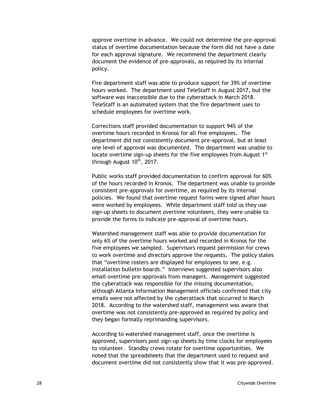approve overtime in advance. We could not determine the pre-approval status of overtime documentation because the form did not have a date for each approval signature. We recommend the department clearly document the evidence of pre-approvals, as required by its internal policy.

Fire department staff was able to produce support for 39% of overtime hours worked. The department used TeleStaff in August 2017, but the software was inaccessible due to the cyberattack in March 2018. TeleStaff is an automated system that the fire department uses to schedule employees for overtime work.

Corrections staff provided documentation to support 94% of the overtime hours recorded in Kronos for all five employees. The department did not consistently document pre-approval, but at least one level of approval was documented. The department was unable to locate overtime sign-up sheets for the five employees from August 1<sup>st</sup> through August 10<sup>th</sup>, 2017.

Public works staff provided documentation to confirm approval for 60% of the hours recorded in Kronos. The department was unable to provide consistent pre-approvals for overtime, as required by its internal policies. We found that overtime request forms were signed after hours were worked by employees. While department staff told us they use sign-up sheets to document overtime volunteers, they were unable to provide the forms to indicate pre-approval of overtime hours.

Watershed management staff was able to provide documentation for only 6% of the overtime hours worked and recorded in Kronos for the five employees we sampled. Supervisors request permission for crews to work overtime and directors approve the requests. The policy states that "overtime rosters are displayed for employees to see, e.g. installation bulletin boards." Interviews suggested supervisors also email overtime pre-approvals from managers. Management suggested the cyberattack was responsible for the missing documentation, although Atlanta Information Management officials confirmed that city emails were not affected by the cyberattack that occurred in March 2018. According to the watershed staff, management was aware that overtime was not consistently pre-approved as required by policy and they began formally reprimanding supervisors.

According to watershed management staff, once the overtime is approved, supervisors post sign-up sheets by time clocks for employees to volunteer. Standby crews rotate for overtime opportunities. We noted that the spreadsheets that the department used to request and document overtime did not consistently show that it was pre-approved.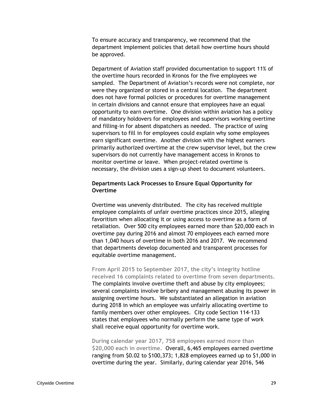To ensure accuracy and transparency, we recommend that the department implement policies that detail how overtime hours should be approved.

Department of Aviation staff provided documentation to support 11% of the overtime hours recorded in Kronos for the five employees we sampled. The Department of Aviation's records were not complete, nor were they organized or stored in a central location. The department does not have formal policies or procedures for overtime management in certain divisions and cannot ensure that employees have an equal opportunity to earn overtime. One division within aviation has a policy of mandatory holdovers for employees and supervisors working overtime and filling-in for absent dispatchers as needed. The practice of using supervisors to fill in for employees could explain why some employees earn significant overtime. Another division with the highest earners primarily authorized overtime at the crew supervisor level, but the crew supervisors do not currently have management access in Kronos to monitor overtime or leave. When project-related overtime is necessary, the division uses a sign-up sheet to document volunteers.

### <span id="page-38-0"></span>**Departments Lack Processes to Ensure Equal Opportunity for Overtime**

Overtime was unevenly distributed. The city has received multiple employee complaints of unfair overtime practices since 2015, alleging favoritism when allocating it or using access to overtime as a form of retaliation. Over 500 city employees earned more than \$20,000 each in overtime pay during 2016 and almost 70 employees each earned more than 1,040 hours of overtime in both 2016 and 2017. We recommend that departments develop documented and transparent processes for equitable overtime management.

**From April 2015 to September 2017, the city's integrity hotline received 16 complaints related to overtime from seven departments.** The complaints involve overtime theft and abuse by city employees; several complaints involve bribery and management abusing its power in assigning overtime hours. We substantiated an allegation in aviation during 2018 in which an employee was unfairly allocating overtime to family members over other employees. City code Section 114-133 states that employees who normally perform the same type of work shall receive equal opportunity for overtime work.

**During calendar year 2017, 758 employees earned more than \$20,000 each in overtime.** Overall, 6,465 employees earned overtime ranging from \$0.02 to \$100,373; 1,828 employees earned up to \$1,000 in overtime during the year. Similarly, during calendar year 2016, 546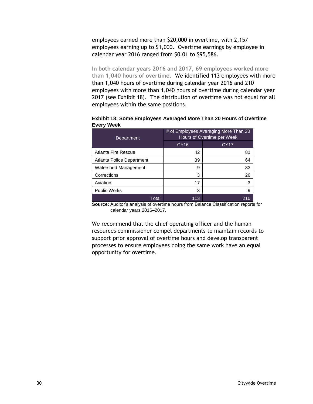employees earned more than \$20,000 in overtime, with 2,157 employees earning up to \$1,000. Overtime earnings by employee in calendar year 2016 ranged from \$0.01 to \$95,586.

**In both calendar years 2016 and 2017, 69 employees worked more than 1,040 hours of overtime.** We identified 113 employees with more than 1,040 hours of overtime during calendar year 2016 and 210 employees with more than 1,040 hours of overtime during calendar year 2017 (see Exhibit 18). The distribution of overtime was not equal for all employees within the same positions.

| Department                | # of Employees Averaging More Than 20<br>Hours of Overtime per Week |      |  |
|---------------------------|---------------------------------------------------------------------|------|--|
|                           | CY <sub>16</sub>                                                    | CY17 |  |
| Atlanta Fire Rescue       | 42                                                                  | 81   |  |
| Atlanta Police Department | 39                                                                  | 64   |  |
| Watershed Management      | 9                                                                   | 33   |  |
| Corrections               | 3                                                                   | 20   |  |
| Aviation                  | 17                                                                  | 3    |  |
| <b>Public Works</b>       | 3                                                                   | 9    |  |
| Total                     | 113                                                                 | 210  |  |

<span id="page-39-0"></span>**Exhibit 18: Some Employees Averaged More Than 20 Hours of Overtime Every Week**

**Source:** Auditor's analysis of overtime hours from Balance Classification reports for calendar years 2016–2017.

We recommend that the chief operating officer and the human resources commissioner compel departments to maintain records to support prior approval of overtime hours and develop transparent processes to ensure employees doing the same work have an equal opportunity for overtime.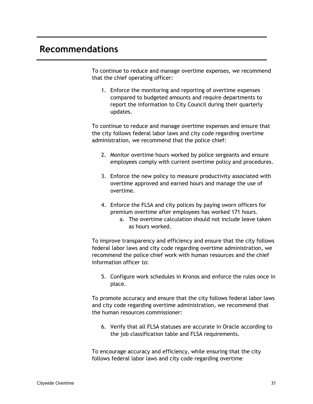## <span id="page-40-0"></span>**Recommendations**

To continue to reduce and manage overtime expenses, we recommend that the chief operating officer:

1. Enforce the monitoring and reporting of overtime expenses compared to budgeted amounts and require departments to report the information to City Council during their quarterly updates.

To continue to reduce and manage overtime expenses and ensure that the city follows federal labor laws and city code regarding overtime administration, we recommend that the police chief:

- 2. Monitor overtime hours worked by police sergeants and ensure employees comply with current overtime policy and procedures.
- 3. Enforce the new policy to measure productivity associated with overtime approved and earned hours and manage the use of overtime.
- 4. Enforce the FLSA and city polices by paying sworn officers for premium overtime after employees has worked 171 hours.
	- a. The overtime calculation should not include leave taken as hours worked.

To improve transparency and efficiency and ensure that the city follows federal labor laws and city code regarding overtime administration, we recommend the police chief work with human resources and the chief information officer to:

5. Configure work schedules in Kronos and enforce the rules once in place.

To promote accuracy and ensure that the city follows federal labor laws and city code regarding overtime administration, we recommend that the human resources commissioner:

6. Verify that all FLSA statuses are accurate in Oracle according to the job classification table and FLSA requirements.

To encourage accuracy and efficiency, while ensuring that the city follows federal labor laws and city code regarding overtime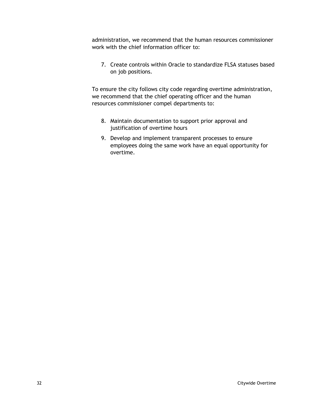administration, we recommend that the human resources commissioner work with the chief information officer to:

7. Create controls within Oracle to standardize FLSA statuses based on job positions.

To ensure the city follows city code regarding overtime administration, we recommend that the chief operating officer and the human resources commissioner compel departments to:

- 8. Maintain documentation to support prior approval and justification of overtime hours
- 9. Develop and implement transparent processes to ensure employees doing the same work have an equal opportunity for overtime.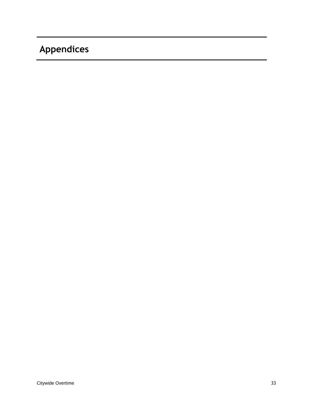# <span id="page-42-0"></span>**Appendices**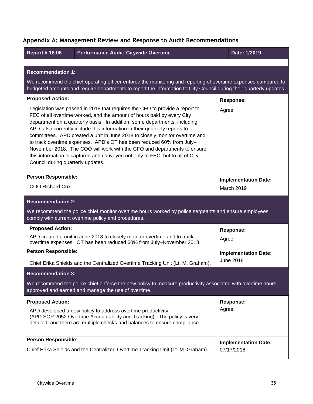| <b>Report #18.06</b>                                                                                                                                                                                                                                                                                                                                                                                                                                                                                                                                                                                                                                                     | Performance Audit: Citywide Overtime                                                                                                                        | Date: 1/2019                |  |  |  |  |  |
|--------------------------------------------------------------------------------------------------------------------------------------------------------------------------------------------------------------------------------------------------------------------------------------------------------------------------------------------------------------------------------------------------------------------------------------------------------------------------------------------------------------------------------------------------------------------------------------------------------------------------------------------------------------------------|-------------------------------------------------------------------------------------------------------------------------------------------------------------|-----------------------------|--|--|--|--|--|
|                                                                                                                                                                                                                                                                                                                                                                                                                                                                                                                                                                                                                                                                          |                                                                                                                                                             |                             |  |  |  |  |  |
| <b>Recommendation 1:</b>                                                                                                                                                                                                                                                                                                                                                                                                                                                                                                                                                                                                                                                 |                                                                                                                                                             |                             |  |  |  |  |  |
| We recommend the chief operating officer enforce the monitoring and reporting of overtime expenses compared to<br>budgeted amounts and require departments to report the information to City Council during their quarterly updates.                                                                                                                                                                                                                                                                                                                                                                                                                                     |                                                                                                                                                             |                             |  |  |  |  |  |
| <b>Proposed Action:</b>                                                                                                                                                                                                                                                                                                                                                                                                                                                                                                                                                                                                                                                  | <b>Response:</b>                                                                                                                                            |                             |  |  |  |  |  |
| Legislation was passed in 2018 that requires the CFO to provide a report to<br>FEC of all overtime worked, and the amount of hours paid by every City<br>department on a quarterly basis. In addition, some departments, including<br>APD, also currently include this information in their quarterly reports to<br>committees. APD created a unit in June 2018 to closely monitor overtime and<br>to track overtime expenses. APD's OT has been reduced 60% from July-<br>November 2018. The COO will work with the CFO and departments to ensure<br>this information is captured and conveyed not only to FEC, but to all of City<br>Council during quarterly updates. | Agree                                                                                                                                                       |                             |  |  |  |  |  |
| <b>Person Responsible:</b>                                                                                                                                                                                                                                                                                                                                                                                                                                                                                                                                                                                                                                               | <b>Implementation Date:</b><br><b>March 2019</b>                                                                                                            |                             |  |  |  |  |  |
| COO Richard Cox                                                                                                                                                                                                                                                                                                                                                                                                                                                                                                                                                                                                                                                          |                                                                                                                                                             |                             |  |  |  |  |  |
| <b>Recommendation 2:</b>                                                                                                                                                                                                                                                                                                                                                                                                                                                                                                                                                                                                                                                 |                                                                                                                                                             |                             |  |  |  |  |  |
|                                                                                                                                                                                                                                                                                                                                                                                                                                                                                                                                                                                                                                                                          | We recommend the police chief monitor overtime hours worked by police sergeants and ensure employees<br>comply with current overtime policy and procedures. |                             |  |  |  |  |  |
| <b>Proposed Action:</b>                                                                                                                                                                                                                                                                                                                                                                                                                                                                                                                                                                                                                                                  |                                                                                                                                                             | <b>Response:</b>            |  |  |  |  |  |
| APD created a unit in June 2018 to closely monitor overtime and to track<br>overtime expenses. OT has been reduced 60% from July-November 2018.                                                                                                                                                                                                                                                                                                                                                                                                                                                                                                                          | Agree                                                                                                                                                       |                             |  |  |  |  |  |
| Person Responsible:                                                                                                                                                                                                                                                                                                                                                                                                                                                                                                                                                                                                                                                      |                                                                                                                                                             | <b>Implementation Date:</b> |  |  |  |  |  |
| Chief Erika Shields and the Centralized Overtime Tracking Unit (Lt. M. Graham).                                                                                                                                                                                                                                                                                                                                                                                                                                                                                                                                                                                          | <b>June 2018</b>                                                                                                                                            |                             |  |  |  |  |  |
| <b>Recommendation 3:</b>                                                                                                                                                                                                                                                                                                                                                                                                                                                                                                                                                                                                                                                 |                                                                                                                                                             |                             |  |  |  |  |  |
| We recommend the police chief enforce the new policy to measure productivity associated with overtime hours<br>approved and earned and manage the use of overtime.                                                                                                                                                                                                                                                                                                                                                                                                                                                                                                       |                                                                                                                                                             |                             |  |  |  |  |  |
| <b>Proposed Action:</b><br>APD developed a new policy to address overtime productivity<br>(APD.SOP.2052 Overtime Accountability and Tracking). The policy is very<br>detailed, and there are multiple checks and balances to ensure compliance.                                                                                                                                                                                                                                                                                                                                                                                                                          |                                                                                                                                                             | <b>Response:</b>            |  |  |  |  |  |
|                                                                                                                                                                                                                                                                                                                                                                                                                                                                                                                                                                                                                                                                          |                                                                                                                                                             | Agree                       |  |  |  |  |  |
| <b>Person Responsible:</b>                                                                                                                                                                                                                                                                                                                                                                                                                                                                                                                                                                                                                                               | <b>Implementation Date:</b><br>07/17/2018                                                                                                                   |                             |  |  |  |  |  |
| Chief Erika Shields and the Centralized Overtime Tracking Unit (Lt. M. Graham).                                                                                                                                                                                                                                                                                                                                                                                                                                                                                                                                                                                          |                                                                                                                                                             |                             |  |  |  |  |  |

## <span id="page-44-0"></span>**Appendix A: Management Review and Response to Audit Recommendations**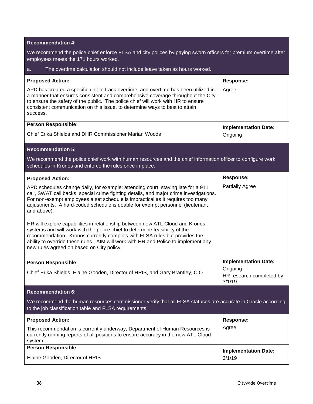### **Recommendation 4:**

We recommend the police chief enforce FLSA and city polices by paying sworn officers for premium overtime after employees meets the 171 hours worked.

| The overtime calculation should not include leave taken as hours worked.<br>a.                                                                                                                                                                                                                                                                                                |                                               |  |  |  |  |  |
|-------------------------------------------------------------------------------------------------------------------------------------------------------------------------------------------------------------------------------------------------------------------------------------------------------------------------------------------------------------------------------|-----------------------------------------------|--|--|--|--|--|
| <b>Proposed Action:</b>                                                                                                                                                                                                                                                                                                                                                       | <b>Response:</b>                              |  |  |  |  |  |
| APD has created a specific unit to track overtime, and overtime has been utilized in<br>a manner that ensures consistent and comprehensive coverage throughout the City<br>to ensure the safety of the public. The police chief will work with HR to ensure<br>consistent communication on this issue, to determine ways to best to attain<br>success.                        | Agree                                         |  |  |  |  |  |
| Person Responsible:                                                                                                                                                                                                                                                                                                                                                           | <b>Implementation Date:</b>                   |  |  |  |  |  |
| Chief Erika Shields and DHR Commissioner Marian Woods                                                                                                                                                                                                                                                                                                                         | Ongoing                                       |  |  |  |  |  |
| <b>Recommendation 5:</b>                                                                                                                                                                                                                                                                                                                                                      |                                               |  |  |  |  |  |
| We recommend the police chief work with human resources and the chief information officer to configure work<br>schedules in Kronos and enforce the rules once in place.                                                                                                                                                                                                       |                                               |  |  |  |  |  |
| <b>Proposed Action:</b>                                                                                                                                                                                                                                                                                                                                                       | <b>Response:</b>                              |  |  |  |  |  |
| APD schedules change daily, for example: attending court, staying late for a 911<br>call, SWAT call backs, special crime fighting details, and major crime investigations.<br>For non-exempt employees a set schedule is impractical as it requires too many<br>adjustments. A hard-coded schedule is doable for exempt personnel (lieutenant<br>and above).                  | <b>Partially Agree</b>                        |  |  |  |  |  |
| HR will explore capabilities in relationship between new ATL Cloud and Kronos<br>systems and will work with the police chief to determine feasibility of the<br>recommendation. Kronos currently complies with FLSA rules but provides the<br>ability to override these rules. AIM will work with HR and Police to implement any<br>new rules agreed on based on City policy. |                                               |  |  |  |  |  |
| Person Responsible:                                                                                                                                                                                                                                                                                                                                                           | <b>Implementation Date:</b>                   |  |  |  |  |  |
| Chief Erika Shields, Elaine Gooden, Director of HRIS, and Gary Brantley, CIO                                                                                                                                                                                                                                                                                                  | Ongoing<br>HR research completed by<br>3/1/19 |  |  |  |  |  |
| <b>Recommendation 6:</b>                                                                                                                                                                                                                                                                                                                                                      |                                               |  |  |  |  |  |
| We recommend the human resources commissioner verify that all FLSA statuses are accurate in Oracle according<br>to the job classification table and FLSA requirements.                                                                                                                                                                                                        |                                               |  |  |  |  |  |
| <b>Proposed Action:</b>                                                                                                                                                                                                                                                                                                                                                       | <b>Response:</b>                              |  |  |  |  |  |
| This recommendation is currently underway; Department of Human Resources is<br>currently running reports of all positions to ensure accuracy in the new ATL Cloud<br>system.                                                                                                                                                                                                  | Agree                                         |  |  |  |  |  |
| Person Responsible:                                                                                                                                                                                                                                                                                                                                                           | <b>Implementation Date:</b>                   |  |  |  |  |  |
| Elaine Gooden, Director of HRIS                                                                                                                                                                                                                                                                                                                                               | 3/1/19                                        |  |  |  |  |  |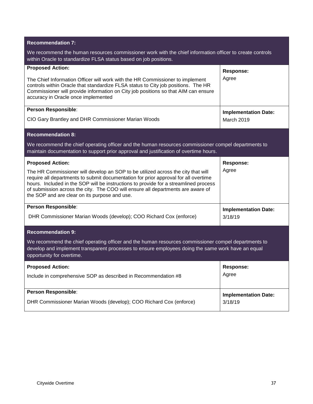| <b>Recommendation 7:</b>                                                                                                                                                                                                                                                                                                                                                                                                       |                                           |  |  |  |  |  |
|--------------------------------------------------------------------------------------------------------------------------------------------------------------------------------------------------------------------------------------------------------------------------------------------------------------------------------------------------------------------------------------------------------------------------------|-------------------------------------------|--|--|--|--|--|
| We recommend the human resources commissioner work with the chief information officer to create controls<br>within Oracle to standardize FLSA status based on job positions.                                                                                                                                                                                                                                                   |                                           |  |  |  |  |  |
| <b>Proposed Action:</b><br>The Chief Information Officer will work with the HR Commissioner to implement<br>controls within Oracle that standardize FLSA status to City job positions. The HR<br>Commissioner will provide information on City job positions so that AIM can ensure<br>accuracy in Oracle once implemented                                                                                                     | <b>Response:</b><br>Agree                 |  |  |  |  |  |
| Person Responsible:<br>CIO Gary Brantley and DHR Commissioner Marian Woods                                                                                                                                                                                                                                                                                                                                                     | <b>Implementation Date:</b><br>March 2019 |  |  |  |  |  |
| <b>Recommendation 8:</b>                                                                                                                                                                                                                                                                                                                                                                                                       |                                           |  |  |  |  |  |
| We recommend the chief operating officer and the human resources commissioner compel departments to<br>maintain documentation to support prior approval and justification of overtime hours.                                                                                                                                                                                                                                   |                                           |  |  |  |  |  |
| <b>Proposed Action:</b><br>The HR Commissioner will develop an SOP to be utilized across the city that will<br>require all departments to submit documentation for prior approval for all overtime<br>hours. Included in the SOP will be instructions to provide for a streamlined process<br>of submission across the city. The COO will ensure all departments are aware of<br>the SOP and are clear on its purpose and use. | <b>Response:</b><br>Agree                 |  |  |  |  |  |
| Person Responsible:<br>DHR Commissioner Marian Woods (develop); COO Richard Cox (enforce)                                                                                                                                                                                                                                                                                                                                      | <b>Implementation Date:</b><br>3/18/19    |  |  |  |  |  |
| <b>Recommendation 9:</b><br>We recommend the chief operating officer and the human resources commissioner compel departments to<br>develop and implement transparent processes to ensure employees doing the same work have an equal<br>opportunity for overtime.                                                                                                                                                              |                                           |  |  |  |  |  |
| <b>Proposed Action:</b><br>Include in comprehensive SOP as described in Recommendation #8                                                                                                                                                                                                                                                                                                                                      | Response:<br>Agree                        |  |  |  |  |  |
| Person Responsible:<br>DHR Commissioner Marian Woods (develop); COO Richard Cox (enforce)                                                                                                                                                                                                                                                                                                                                      | <b>Implementation Date:</b><br>3/18/19    |  |  |  |  |  |